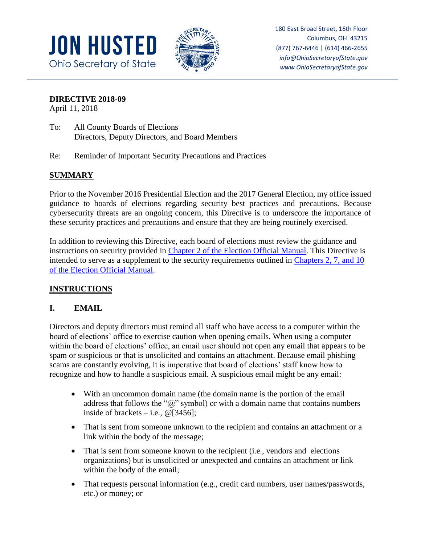



180 East Broad Street, 16th Floor Columbus, OH 43215 (877) 767-6446 | (614) 466-2655 *info@OhioSecretaryofState.gov www.OhioSecretaryofState.gov*

### **DIRECTIVE 2018-09**

April 11, 2018

- To: All County Boards of Elections Directors, Deputy Directors, and Board Members
- Re: Reminder of Important Security Precautions and Practices

## **SUMMARY**

Prior to the November 2016 Presidential Election and the 2017 General Election, my office issued guidance to boards of elections regarding security best practices and precautions. Because cybersecurity threats are an ongoing concern, this Directive is to underscore the importance of these security practices and precautions and ensure that they are being routinely exercised.

In addition to reviewing this Directive, each board of elections must review the guidance and instructions on security provided in [Chapter 2 of the Election Official Manual.](https://www.sos.state.oh.us/globalassets/elections/directives/2017/dir2017-11_eom_ch_02.pdf) This Directive is intended to serve as a supplement to the security requirements outlined in [Chapters 2, 7,](https://www.sos.state.oh.us/elections/elections-officials/rules/) and 10 [of the Election Official Manual.](https://www.sos.state.oh.us/elections/elections-officials/rules/)

### **INSTRUCTIONS**

### **I. EMAIL**

Directors and deputy directors must remind all staff who have access to a computer within the board of elections' office to exercise caution when opening emails. When using a computer within the board of elections' office, an email user should not open any email that appears to be spam or suspicious or that is unsolicited and contains an attachment. Because email phishing scams are constantly evolving, it is imperative that board of elections' staff know how to recognize and how to handle a suspicious email. A suspicious email might be any email:

- With an uncommon domain name (the domain name is the portion of the email address that follows the " $\omega$ " symbol) or with a domain name that contains numbers inside of brackets  $-$  i.e.,  $\omega$  [3456];
- That is sent from someone unknown to the recipient and contains an attachment or a link within the body of the message;
- That is sent from someone known to the recipient (i.e., vendors and elections organizations) but is unsolicited or unexpected and contains an attachment or link within the body of the email;
- That requests personal information (e.g., credit card numbers, user names/passwords, etc.) or money; or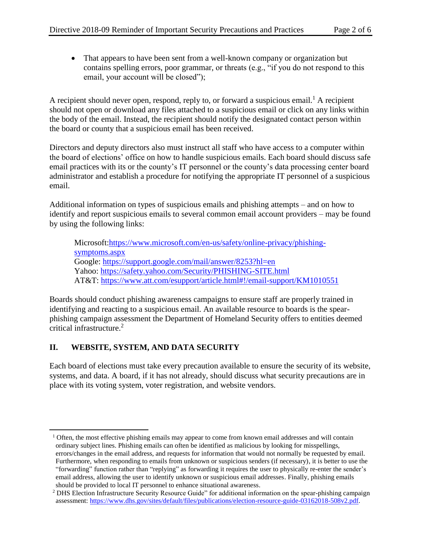That appears to have been sent from a well-known company or organization but contains spelling errors, poor grammar, or threats (e.g., "if you do not respond to this email, your account will be closed");

A recipient should never open, respond, reply to, or forward a suspicious email.<sup>1</sup> A recipient should not open or download any files attached to a suspicious email or click on any links within the body of the email. Instead, the recipient should notify the designated contact person within the board or county that a suspicious email has been received.

Directors and deputy directors also must instruct all staff who have access to a computer within the board of elections' office on how to handle suspicious emails. Each board should discuss safe email practices with its or the county's IT personnel or the county's data processing center board administrator and establish a procedure for notifying the appropriate IT personnel of a suspicious email.

Additional information on types of suspicious emails and phishing attempts – and on how to identify and report suspicious emails to several common email account providers – may be found by using the following links:

Microsoft[:https://www.microsoft.com/en-us/safety/online-privacy/phishing](https://www.microsoft.com/en-us/safety/online-privacy/phishing-symptoms.aspx)[symptoms.aspx](https://www.microsoft.com/en-us/safety/online-privacy/phishing-symptoms.aspx) Google:<https://support.google.com/mail/answer/8253?hl=en> Yahoo:<https://safety.yahoo.com/Security/PHISHING-SITE.html> AT&T:<https://www.att.com/esupport/article.html#!/email-support/KM1010551>

Boards should conduct phishing awareness campaigns to ensure staff are properly trained in identifying and reacting to a suspicious email. An available resource to boards is the spearphishing campaign assessment the Department of Homeland Security offers to entities deemed critical infrastructure.<sup>2</sup>

## **II. WEBSITE, SYSTEM, AND DATA SECURITY**

 $\overline{\phantom{a}}$ 

Each board of elections must take every precaution available to ensure the security of its website, systems, and data. A board, if it has not already, should discuss what security precautions are in place with its voting system, voter registration, and website vendors.

 $1$  Often, the most effective phishing emails may appear to come from known email addresses and will contain ordinary subject lines. Phishing emails can often be identified as malicious by looking for misspellings, errors/changes in the email address, and requests for information that would not normally be requested by email. Furthermore, when responding to emails from unknown or suspicious senders (if necessary), it is better to use the "forwarding" function rather than "replying" as forwarding it requires the user to physically re-enter the sender's email address, allowing the user to identify unknown or suspicious email addresses. Finally, phishing emails should be provided to local IT personnel to enhance situational awareness.

<sup>2</sup> DHS Election Infrastructure Security Resource Guide" for additional information on the spear-phishing campaign assessment[: https://www.dhs.gov/sites/default/files/publications/election-resource-guide-03162018-508v2.pdf.](https://www.dhs.gov/sites/default/files/publications/election-resource-guide-03162018-508v2.pdf)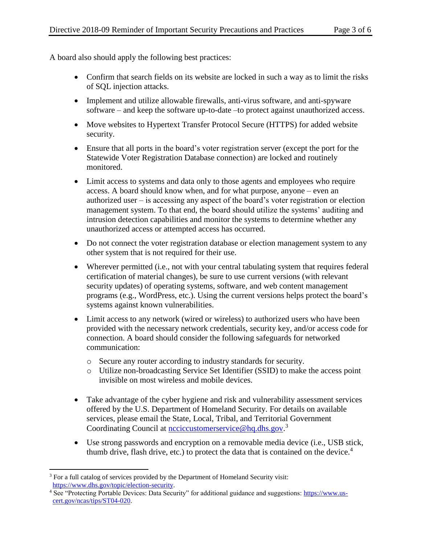A board also should apply the following best practices:

- Confirm that search fields on its website are locked in such a way as to limit the risks of SQL injection attacks.
- Implement and utilize allowable firewalls, anti-virus software, and anti-spyware software – and keep the software up-to-date –to protect against unauthorized access.
- Move websites to Hypertext Transfer Protocol Secure (HTTPS) for added website security.
- Ensure that all ports in the board's voter registration server (except the port for the Statewide Voter Registration Database connection) are locked and routinely monitored.
- Limit access to systems and data only to those agents and employees who require access. A board should know when, and for what purpose, anyone – even an authorized user – is accessing any aspect of the board's voter registration or election management system. To that end, the board should utilize the systems' auditing and intrusion detection capabilities and monitor the systems to determine whether any unauthorized access or attempted access has occurred.
- Do not connect the voter registration database or election management system to any other system that is not required for their use.
- Wherever permitted (i.e., not with your central tabulating system that requires federal certification of material changes), be sure to use current versions (with relevant security updates) of operating systems, software, and web content management programs (e.g., WordPress, etc.). Using the current versions helps protect the board's systems against known vulnerabilities.
- Limit access to any network (wired or wireless) to authorized users who have been provided with the necessary network credentials, security key, and/or access code for connection. A board should consider the following safeguards for networked communication:
	- o Secure any router according to industry standards for security.
	- o Utilize non-broadcasting Service Set Identifier (SSID) to make the access point invisible on most wireless and mobile devices.
- Take advantage of the cyber hygiene and risk and vulnerability assessment services offered by the U.S. Department of Homeland Security. For details on available services, please email the State, Local, Tribal, and Territorial Government Coordinating Council at **ncciccustomerservice@hq.dhs.gov.**<sup>3</sup>
- Use strong passwords and encryption on a removable media device (i.e., USB stick, thumb drive, flash drive, etc.) to protect the data that is contained on the device. $4$

 $\overline{\phantom{a}}$ <sup>3</sup> For a full catalog of services provided by the Department of Homeland Security visit: [https://www.dhs.gov/topic/election-security.](https://www.dhs.gov/topic/election-security)

<sup>4</sup> See "Protecting Portable Devices: Data Security" for additional guidance and suggestions: [https://www.us](https://www.us-cert.gov/ncas/tips/ST04-020)[cert.gov/ncas/tips/ST04-020.](https://www.us-cert.gov/ncas/tips/ST04-020)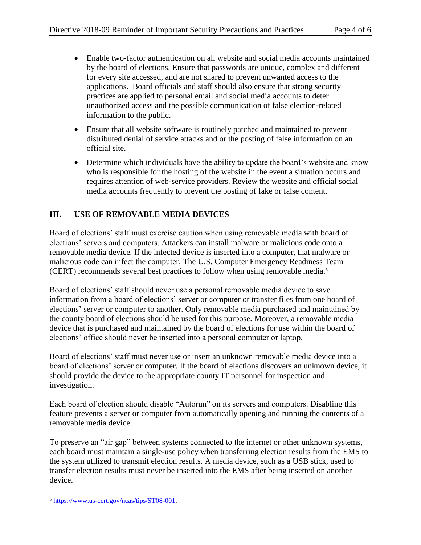- Enable two-factor authentication on all website and social media accounts maintained by the board of elections. Ensure that passwords are unique, complex and different for every site accessed, and are not shared to prevent unwanted access to the applications. Board officials and staff should also ensure that strong security practices are applied to personal email and social media accounts to deter unauthorized access and the possible communication of false election-related information to the public.
- Ensure that all website software is routinely patched and maintained to prevent distributed denial of service attacks and or the posting of false information on an official site.
- Determine which individuals have the ability to update the board's website and know who is responsible for the hosting of the website in the event a situation occurs and requires attention of web-service providers. Review the website and official social media accounts frequently to prevent the posting of fake or false content.

# **III. USE OF REMOVABLE MEDIA DEVICES**

Board of elections' staff must exercise caution when using removable media with board of elections' servers and computers. Attackers can install malware or malicious code onto a removable media device. If the infected device is inserted into a computer, that malware or malicious code can infect the computer. The U.S. Computer Emergency Readiness Team (CERT) recommends several best practices to follow when using removable media.<sup>5</sup>

Board of elections' staff should never use a personal removable media device to save information from a board of elections' server or computer or transfer files from one board of elections' server or computer to another. Only removable media purchased and maintained by the county board of elections should be used for this purpose. Moreover, a removable media device that is purchased and maintained by the board of elections for use within the board of elections' office should never be inserted into a personal computer or laptop.

Board of elections' staff must never use or insert an unknown removable media device into a board of elections' server or computer. If the board of elections discovers an unknown device, it should provide the device to the appropriate county IT personnel for inspection and investigation.

Each board of election should disable "Autorun" on its servers and computers. Disabling this feature prevents a server or computer from automatically opening and running the contents of a removable media device.

To preserve an "air gap" between systems connected to the internet or other unknown systems, each board must maintain a single-use policy when transferring election results from the EMS to the system utilized to transmit election results. A media device, such as a USB stick, used to transfer election results must never be inserted into the EMS after being inserted on another device.

 $\overline{a}$ <sup>5</sup> [https://www.us-cert.gov/ncas/tips/ST08-001.](https://www.us-cert.gov/ncas/tips/ST08-001)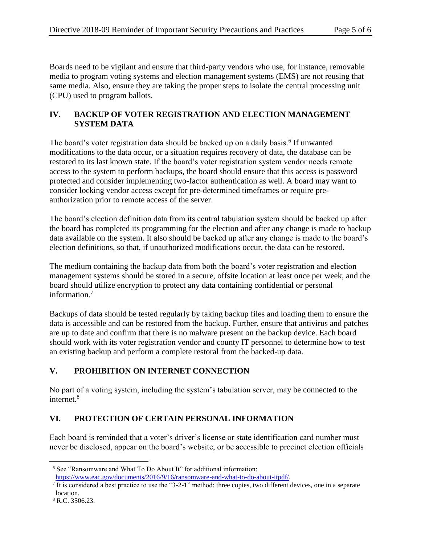Boards need to be vigilant and ensure that third-party vendors who use, for instance, removable media to program voting systems and election management systems (EMS) are not reusing that same media. Also, ensure they are taking the proper steps to isolate the central processing unit (CPU) used to program ballots.

# **IV. BACKUP OF VOTER REGISTRATION AND ELECTION MANAGEMENT SYSTEM DATA**

The board's voter registration data should be backed up on a daily basis.<sup>6</sup> If unwanted modifications to the data occur, or a situation requires recovery of data, the database can be restored to its last known state. If the board's voter registration system vendor needs remote access to the system to perform backups, the board should ensure that this access is password protected and consider implementing two-factor authentication as well. A board may want to consider locking vendor access except for pre-determined timeframes or require preauthorization prior to remote access of the server.

The board's election definition data from its central tabulation system should be backed up after the board has completed its programming for the election and after any change is made to backup data available on the system. It also should be backed up after any change is made to the board's election definitions, so that, if unauthorized modifications occur, the data can be restored.

The medium containing the backup data from both the board's voter registration and election management systems should be stored in a secure, offsite location at least once per week, and the board should utilize encryption to protect any data containing confidential or personal information.<sup>7</sup>

Backups of data should be tested regularly by taking backup files and loading them to ensure the data is accessible and can be restored from the backup. Further, ensure that antivirus and patches are up to date and confirm that there is no malware present on the backup device. Each board should work with its voter registration vendor and county IT personnel to determine how to test an existing backup and perform a complete restoral from the backed-up data.

# **V. PROHIBITION ON INTERNET CONNECTION**

No part of a voting system, including the system's tabulation server, may be connected to the internet.<sup>8</sup>

# **VI. PROTECTION OF CERTAIN PERSONAL INFORMATION**

Each board is reminded that a voter's driver's license or state identification card number must never be disclosed, appear on the board's website, or be accessible to precinct election officials

 $\overline{a}$ <sup>6</sup> See "Ransomware and What To Do About It" for additional information:

[https://www.eac.gov/documents/2016/9/16/ransomware-and-what-to-do-about-itpdf/.](https://www.eac.gov/documents/2016/9/16/ransomware-and-what-to-do-about-itpdf/)

It is considered a best practice to use the "3-2-1" method: three copies, two different devices, one in a separate location.

<sup>8</sup> R.C. 3506.23.